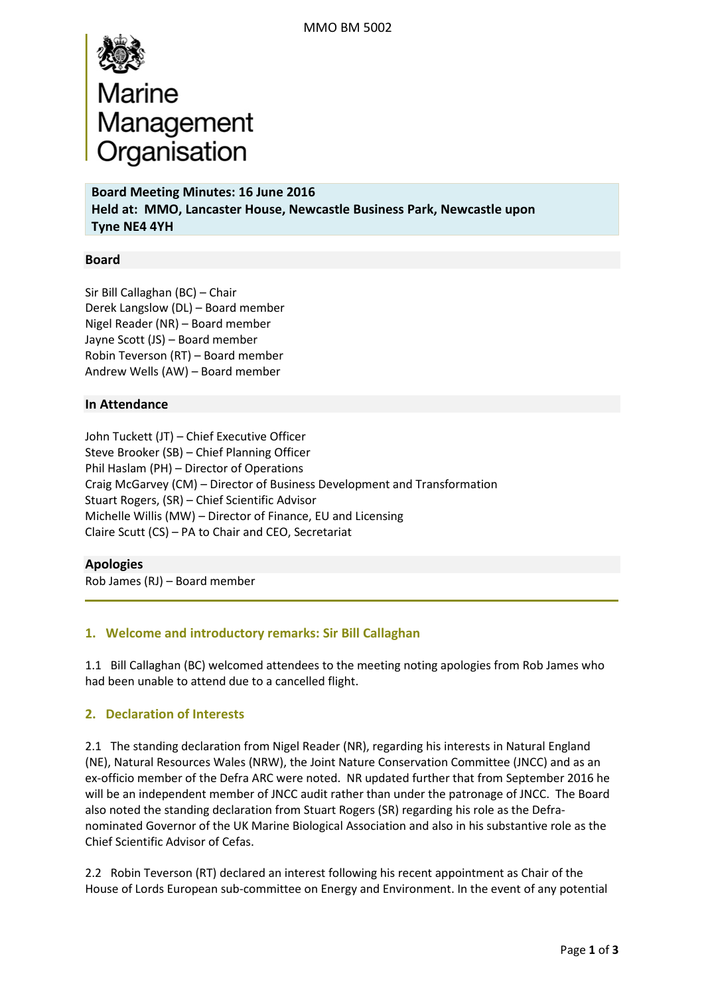

**Board Meeting Minutes: 16 June 2016 Held at: MMO, Lancaster House, Newcastle Business Park, Newcastle upon Tyne NE4 4YH** 

### **Board**

Sir Bill Callaghan (BC) – Chair Derek Langslow (DL) – Board member Nigel Reader (NR) – Board member Jayne Scott (JS) – Board member Robin Teverson (RT) – Board member Andrew Wells (AW) – Board member

#### **In Attendance**

John Tuckett (JT) – Chief Executive Officer Steve Brooker (SB) – Chief Planning Officer Phil Haslam (PH) – Director of Operations Craig McGarvey (CM) – Director of Business Development and Transformation Stuart Rogers, (SR) – Chief Scientific Advisor Michelle Willis (MW) – Director of Finance, EU and Licensing Claire Scutt (CS) – PA to Chair and CEO, Secretariat

#### **Apologies**

Rob James (RJ) – Board member

## **1. Welcome and introductory remarks: Sir Bill Callaghan**

1.1 Bill Callaghan (BC) welcomed attendees to the meeting noting apologies from Rob James who had been unable to attend due to a cancelled flight.

## **2. Declaration of Interests**

2.1 The standing declaration from Nigel Reader (NR), regarding his interests in Natural England (NE), Natural Resources Wales (NRW), the Joint Nature Conservation Committee (JNCC) and as an ex-officio member of the Defra ARC were noted. NR updated further that from September 2016 he will be an independent member of JNCC audit rather than under the patronage of JNCC. The Board also noted the standing declaration from Stuart Rogers (SR) regarding his role as the Defranominated Governor of the UK Marine Biological Association and also in his substantive role as the Chief Scientific Advisor of Cefas.

2.2 Robin Teverson (RT) declared an interest following his recent appointment as Chair of the House of Lords European sub-committee on Energy and Environment. In the event of any potential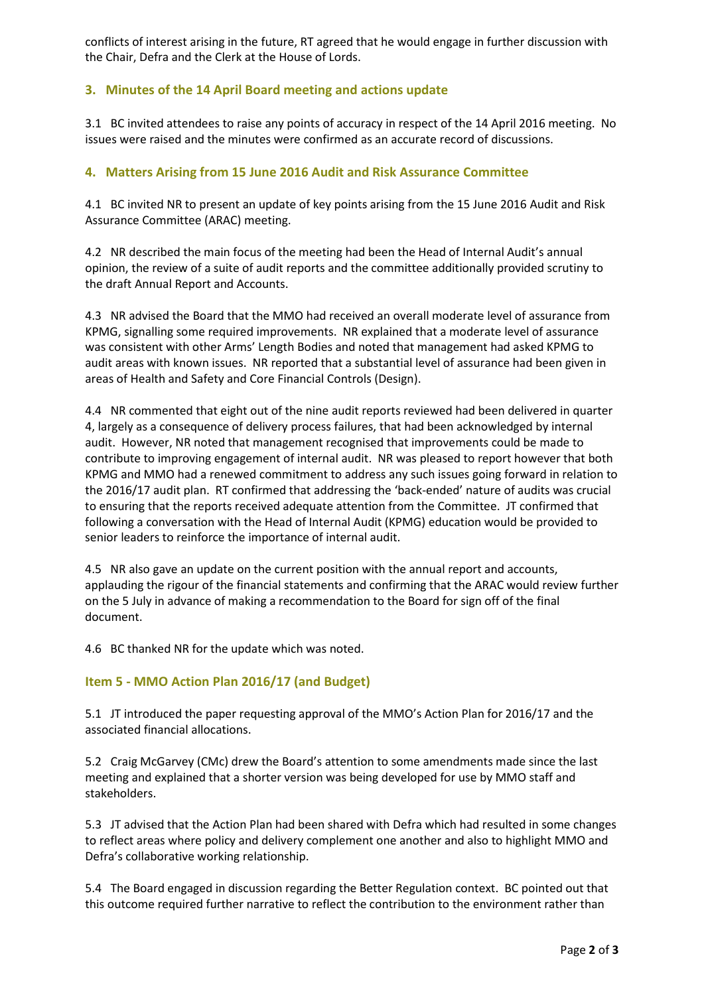conflicts of interest arising in the future, RT agreed that he would engage in further discussion with the Chair, Defra and the Clerk at the House of Lords.

# **3. Minutes of the 14 April Board meeting and actions update**

3.1 BC invited attendees to raise any points of accuracy in respect of the 14 April 2016 meeting. No issues were raised and the minutes were confirmed as an accurate record of discussions.

# **4. Matters Arising from 15 June 2016 Audit and Risk Assurance Committee**

4.1 BC invited NR to present an update of key points arising from the 15 June 2016 Audit and Risk Assurance Committee (ARAC) meeting.

4.2 NR described the main focus of the meeting had been the Head of Internal Audit's annual opinion, the review of a suite of audit reports and the committee additionally provided scrutiny to the draft Annual Report and Accounts.

4.3 NR advised the Board that the MMO had received an overall moderate level of assurance from KPMG, signalling some required improvements. NR explained that a moderate level of assurance was consistent with other Arms' Length Bodies and noted that management had asked KPMG to audit areas with known issues. NR reported that a substantial level of assurance had been given in areas of Health and Safety and Core Financial Controls (Design).

4.4 NR commented that eight out of the nine audit reports reviewed had been delivered in quarter 4, largely as a consequence of delivery process failures, that had been acknowledged by internal audit. However, NR noted that management recognised that improvements could be made to contribute to improving engagement of internal audit. NR was pleased to report however that both KPMG and MMO had a renewed commitment to address any such issues going forward in relation to the 2016/17 audit plan. RT confirmed that addressing the 'back-ended' nature of audits was crucial to ensuring that the reports received adequate attention from the Committee. JT confirmed that following a conversation with the Head of Internal Audit (KPMG) education would be provided to senior leaders to reinforce the importance of internal audit.

4.5 NR also gave an update on the current position with the annual report and accounts, applauding the rigour of the financial statements and confirming that the ARAC would review further on the 5 July in advance of making a recommendation to the Board for sign off of the final document.

4.6 BC thanked NR for the update which was noted.

## **Item 5 - MMO Action Plan 2016/17 (and Budget)**

5.1 JT introduced the paper requesting approval of the MMO's Action Plan for 2016/17 and the associated financial allocations.

5.2 Craig McGarvey (CMc) drew the Board's attention to some amendments made since the last meeting and explained that a shorter version was being developed for use by MMO staff and stakeholders.

5.3 JT advised that the Action Plan had been shared with Defra which had resulted in some changes to reflect areas where policy and delivery complement one another and also to highlight MMO and Defra's collaborative working relationship.

5.4 The Board engaged in discussion regarding the Better Regulation context. BC pointed out that this outcome required further narrative to reflect the contribution to the environment rather than